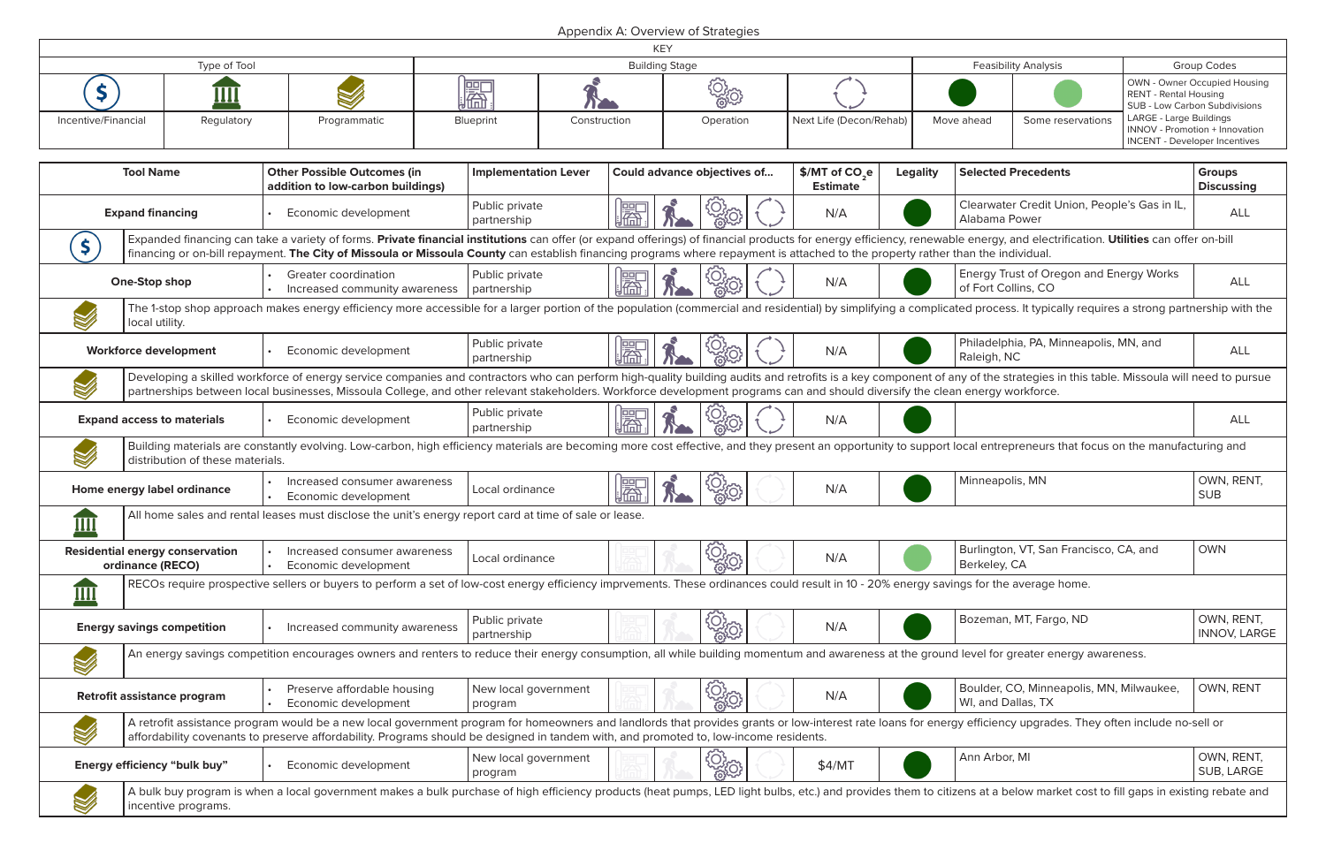## Appendix A: Overview of Strategies

|                  |                                                        |                                        |                                                                                                                                                                                                                                                                                                                                                                                                                    |                                   |                                    |                             |                             | <b>KEY</b> |           |     |                                               |                                                                |                                                                |                                        |                         |                                                                        |  |
|------------------|--------------------------------------------------------|----------------------------------------|--------------------------------------------------------------------------------------------------------------------------------------------------------------------------------------------------------------------------------------------------------------------------------------------------------------------------------------------------------------------------------------------------------------------|-----------------------------------|------------------------------------|-----------------------------|-----------------------------|------------|-----------|-----|-----------------------------------------------|----------------------------------------------------------------|----------------------------------------------------------------|----------------------------------------|-------------------------|------------------------------------------------------------------------|--|
|                  |                                                        | Type of Tool                           |                                                                                                                                                                                                                                                                                                                                                                                                                    |                                   | <b>Building Stage</b>              |                             |                             |            |           |     |                                               |                                                                |                                                                | <b>Feasibility Analysis</b>            |                         | <b>Group Codes</b>                                                     |  |
|                  | <u>          </u><br>Incentive/Financial<br>Regulatory |                                        | Programmatic                                                                                                                                                                                                                                                                                                                                                                                                       |                                   | 屬                                  |                             |                             |            |           |     |                                               |                                                                |                                                                | <b>RENT - Rental Housing</b>           |                         | OWN - Owner Occupied Housing<br>SUB - Low Carbon Subdivisions          |  |
|                  |                                                        |                                        |                                                                                                                                                                                                                                                                                                                                                                                                                    |                                   | Blueprint                          |                             | Construction                |            | Operation |     | Next Life (Decon/Rehab)                       |                                                                | Move ahead                                                     | Some reservations                      | LARGE - Large Buildings | INNOV - Promotion + Innovation<br><b>INCENT - Developer Incentives</b> |  |
| <b>Tool Name</b> |                                                        |                                        | <b>Other Possible Outcomes (in</b>                                                                                                                                                                                                                                                                                                                                                                                 | addition to low-carbon buildings) |                                    | <b>Implementation Lever</b> | Could advance objectives of |            |           |     | \$/MT of CO <sub>2</sub> e<br><b>Estimate</b> | <b>Legality</b>                                                | <b>Selected Precedents</b>                                     |                                        |                         | <b>Groups</b><br><b>Discussing</b>                                     |  |
|                  | <b>Expand financing</b>                                |                                        | Economic development                                                                                                                                                                                                                                                                                                                                                                                               |                                   | Public private<br>圖<br>partnership |                             |                             |            |           | N/A |                                               |                                                                | Clearwater Credit Union, People's Gas in IL,<br>Alabama Power  |                                        | <b>ALL</b>              |                                                                        |  |
| \$               |                                                        |                                        | Expanded financing can take a variety of forms. Private financial institutions can offer (or expand offerings) of financial products for energy efficiency, renewable energy, and electrification. Utilities can offer on-bill<br>financing or on-bill repayment. The City of Missoula or Missoula County can establish financing programs where repayment is attached to the property rather than the individual. |                                   |                                    |                             |                             |            |           |     |                                               |                                                                |                                                                |                                        |                         |                                                                        |  |
|                  | One-Stop shop                                          |                                        | <b>Greater coordination</b><br>Increased community awareness                                                                                                                                                                                                                                                                                                                                                       |                                   | Public private<br>partnership      |                             | 圖                           |            | N/A       |     |                                               | Energy Trust of Oregon and Energy Works<br>of Fort Collins, CO |                                                                |                                        | <b>ALL</b>              |                                                                        |  |
| V                | local utility.                                         |                                        | The 1-stop shop approach makes energy efficiency more accessible for a larger portion of the population (commercial and residential) by simplifying a complicated process. It typically requires a strong partnership with the                                                                                                                                                                                     |                                   |                                    |                             |                             |            |           |     |                                               |                                                                |                                                                |                                        |                         |                                                                        |  |
|                  | <b>Workforce development</b>                           |                                        | Economic development                                                                                                                                                                                                                                                                                                                                                                                               |                                   | Public private<br>partnership      |                             | ▓                           |            |           |     | N/A                                           |                                                                | Raleigh, NC                                                    | Philadelphia, PA, Minneapolis, MN, and |                         | <b>ALL</b>                                                             |  |
| V                |                                                        |                                        | Developing a skilled workforce of energy service companies and contractors who can perform high-quality building audits and retrofits is a key component of any of the strategies in this table. Missoula will need to pursue<br>partnerships between local businesses, Missoula College, and other relevant stakeholders. Workforce development programs can and should diversify the clean energy workforce.     |                                   |                                    |                             |                             |            |           |     |                                               |                                                                |                                                                |                                        |                         |                                                                        |  |
|                  | <b>Expand access to materials</b>                      |                                        | Economic development                                                                                                                                                                                                                                                                                                                                                                                               | Public private<br>partnership     |                                    |                             | ⊯⊞                          |            |           |     | N/A                                           |                                                                |                                                                |                                        |                         | <b>ALL</b>                                                             |  |
| V                |                                                        | distribution of these materials.       | Building materials are constantly evolving. Low-carbon, high efficiency materials are becoming more cost effective, and they present an opportunity to support local entrepreneurs that focus on the manufacturing and                                                                                                                                                                                             |                                   |                                    |                             |                             |            |           |     |                                               |                                                                |                                                                |                                        |                         |                                                                        |  |
|                  |                                                        | Home energy label ordinance            | Increased consumer awareness<br>Economic development                                                                                                                                                                                                                                                                                                                                                               |                                   | Local ordinance                    |                             | 屬                           |            |           |     | N/A                                           |                                                                | Minneapolis, MN                                                |                                        |                         | OWN, RENT,<br><b>SUB</b>                                               |  |
| III              |                                                        |                                        | All home sales and rental leases must disclose the unit's energy report card at time of sale or lease.                                                                                                                                                                                                                                                                                                             |                                   |                                    |                             |                             |            |           |     |                                               |                                                                |                                                                |                                        |                         |                                                                        |  |
|                  | ordinance (RECO)                                       | <b>Residential energy conservation</b> | Increased consumer awareness<br>Economic development                                                                                                                                                                                                                                                                                                                                                               | Local ordinance                   |                                    |                             |                             |            | ි<br>සිග  |     | N/A                                           |                                                                | Berkeley, CA                                                   | Burlington, VT, San Francisco, CA, and |                         | <b>OWN</b>                                                             |  |
| IIII             |                                                        |                                        | RECOs require prospective sellers or buyers to perform a set of low-cost energy efficiency imprvements. These ordinances could result in 10 - 20% energy savings for the average home.                                                                                                                                                                                                                             |                                   |                                    |                             |                             |            |           |     |                                               |                                                                |                                                                |                                        |                         |                                                                        |  |
|                  |                                                        | <b>Energy savings competition</b>      | Increased community awareness                                                                                                                                                                                                                                                                                                                                                                                      |                                   | Public private<br>partnership      |                             |                             |            | ි<br>කිය  |     | N/A                                           |                                                                |                                                                | Bozeman, MT, Fargo, ND                 |                         | OWN, RENT,<br><b>INNOV, LARGE</b>                                      |  |
| V                |                                                        |                                        | An energy savings competition encourages owners and renters to reduce their energy consumption, all while building momentum and awareness at the ground level for greater energy awareness.                                                                                                                                                                                                                        |                                   |                                    |                             |                             |            |           |     |                                               |                                                                |                                                                |                                        |                         |                                                                        |  |
|                  | Retrofit assistance program                            |                                        | Preserve affordable housing<br>Economic development                                                                                                                                                                                                                                                                                                                                                                |                                   | New local government<br>program    |                             |                             |            | ි<br>ශූග  |     | N/A                                           |                                                                | Boulder, CO, Minneapolis, MN, Milwaukee,<br>WI, and Dallas, TX |                                        |                         | OWN, RENT                                                              |  |
| V                |                                                        |                                        | A retrofit assistance program would be a new local government program for homeowners and landlords that provides grants or low-interest rate loans for energy efficiency upgrades. They often include no-sell or<br>affordability covenants to preserve affordability. Programs should be designed in tandem with, and promoted to, low-income residents.                                                          |                                   |                                    |                             |                             |            |           |     |                                               |                                                                |                                                                |                                        |                         |                                                                        |  |
|                  |                                                        | <b>Energy efficiency "bulk buy"</b>    | Economic development                                                                                                                                                                                                                                                                                                                                                                                               |                                   | New local government<br>program    |                             |                             |            | ි<br>ශ්රා |     | \$4/MT                                        |                                                                | Ann Arbor, MI                                                  |                                        |                         | OWN, RENT,<br>SUB, LARGE                                               |  |
| V                |                                                        | incentive programs.                    | A bulk buy program is when a local government makes a bulk purchase of high efficiency products (heat pumps, LED light bulbs, etc.) and provides them to citizens at a below market cost to fill gaps in existing rebate and                                                                                                                                                                                       |                                   |                                    |                             |                             |            |           |     |                                               |                                                                |                                                                |                                        |                         |                                                                        |  |

|     | Feasibility Analysis | Group Codes                                                                                                 |
|-----|----------------------|-------------------------------------------------------------------------------------------------------------|
|     |                      | <b>OWN - Owner Occupied Housing</b><br><b>RENT - Rental Housing</b><br><b>SUB - Low Carbon Subdivisions</b> |
| ead | Some reservations    | LARGE - Large Buildings<br><b>INNOV</b> - Promotion + Innovation<br><b>INCENT - Developer Incentives</b>    |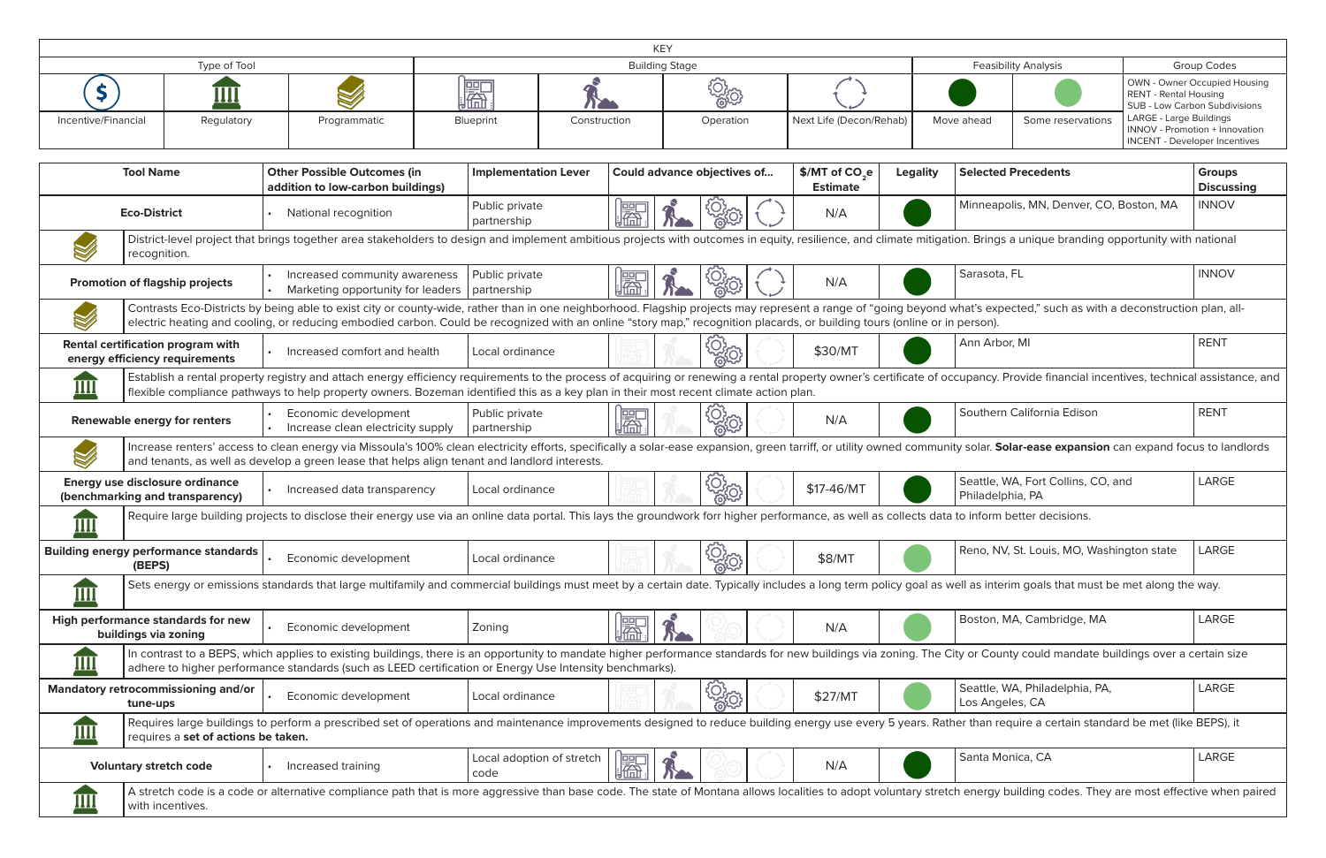| KEY                                                                                                                                                                                                                                                                                                                                        |                                                        |                                                                           |                                                                                                                                                                                                                                                                                                                                                                                                       |                                                |                                             |  |                             |                    |                                              |                         |            |                                           |                             |                                         |                                                                               |                                                               |  |
|--------------------------------------------------------------------------------------------------------------------------------------------------------------------------------------------------------------------------------------------------------------------------------------------------------------------------------------------|--------------------------------------------------------|---------------------------------------------------------------------------|-------------------------------------------------------------------------------------------------------------------------------------------------------------------------------------------------------------------------------------------------------------------------------------------------------------------------------------------------------------------------------------------------------|------------------------------------------------|---------------------------------------------|--|-----------------------------|--------------------|----------------------------------------------|-------------------------|------------|-------------------------------------------|-----------------------------|-----------------------------------------|-------------------------------------------------------------------------------|---------------------------------------------------------------|--|
|                                                                                                                                                                                                                                                                                                                                            |                                                        | Type of Tool                                                              |                                                                                                                                                                                                                                                                                                                                                                                                       | <b>Building Stage</b>                          |                                             |  |                             |                    |                                              |                         |            |                                           | <b>Feasibility Analysis</b> | <b>Group Codes</b>                      |                                                                               |                                                               |  |
|                                                                                                                                                                                                                                                                                                                                            |                                                        | <u>IIII</u>                                                               |                                                                                                                                                                                                                                                                                                                                                                                                       |                                                | 屬                                           |  |                             |                    | ි<br>ඉත                                      |                         |            |                                           |                             | <b>RENT - Rental Housing</b>            |                                                                               | OWN - Owner Occupied Housing<br>SUB - Low Carbon Subdivisions |  |
|                                                                                                                                                                                                                                                                                                                                            | Incentive/Financial                                    |                                                                           | Programmatic                                                                                                                                                                                                                                                                                                                                                                                          |                                                | Blueprint<br>Construction                   |  |                             | Operation          |                                              | Next Life (Decon/Rehab) |            | Move ahead                                | Some reservations           | LARGE - Large Buildings                 | <b>INNOV - Promotion + Innovation</b><br><b>INCENT</b> - Developer Incentives |                                                               |  |
|                                                                                                                                                                                                                                                                                                                                            |                                                        |                                                                           |                                                                                                                                                                                                                                                                                                                                                                                                       |                                                |                                             |  |                             |                    |                                              |                         |            |                                           |                             |                                         |                                                                               |                                                               |  |
|                                                                                                                                                                                                                                                                                                                                            | <b>Tool Name</b>                                       |                                                                           | <b>Other Possible Outcomes (in</b><br>addition to low-carbon buildings)                                                                                                                                                                                                                                                                                                                               |                                                | <b>Implementation Lever</b>                 |  | Could advance objectives of |                    | \$/MT of CO <sub>se</sub><br><b>Estimate</b> | <b>Legality</b>         |            | <b>Selected Precedents</b>                |                             | <b>Groups</b><br><b>Discussing</b>      |                                                                               |                                                               |  |
|                                                                                                                                                                                                                                                                                                                                            | <b>Eco-District</b>                                    |                                                                           | National recognition                                                                                                                                                                                                                                                                                                                                                                                  |                                                | Public private<br>partnership               |  | 圈                           |                    |                                              |                         | N/A        |                                           |                             | Minneapolis, MN, Denver, CO, Boston, MA |                                                                               | <b>INNOV</b>                                                  |  |
| V                                                                                                                                                                                                                                                                                                                                          | recognition.                                           |                                                                           | District-level project that brings together area stakeholders to design and implement ambitious projects with outcomes in equity, resilience, and climate mitigation. Brings a unique branding opportunity with national                                                                                                                                                                              |                                                |                                             |  |                             |                    |                                              |                         |            |                                           |                             |                                         |                                                                               |                                                               |  |
|                                                                                                                                                                                                                                                                                                                                            |                                                        | <b>Promotion of flagship projects</b>                                     | Increased community awareness<br>Marketing opportunity for leaders   partnership                                                                                                                                                                                                                                                                                                                      |                                                | Public private                              |  | <b>IRS</b>                  |                    |                                              | N/A                     |            | Sarasota, FL                              |                             |                                         | <b>INNOV</b>                                                                  |                                                               |  |
| V                                                                                                                                                                                                                                                                                                                                          |                                                        |                                                                           | Contrasts Eco-Districts by being able to exist city or county-wide, rather than in one neighborhood. Flagship projects may represent a range of "going beyond what's expected," such as with a deconstruction plan, all-<br>electric heating and cooling, or reducing embodied carbon. Could be recognized with an online "story map," recognition placards, or building tours (online or in person). |                                                |                                             |  |                             |                    |                                              |                         |            |                                           |                             |                                         |                                                                               |                                                               |  |
|                                                                                                                                                                                                                                                                                                                                            |                                                        | Rental certification program with<br>energy efficiency requirements       | Increased comfort and health                                                                                                                                                                                                                                                                                                                                                                          |                                                | Local ordinance                             |  |                             |                    | ್ಯುಂ                                         |                         | \$30/MT    |                                           |                             | Ann Arbor, MI                           |                                                                               | RENT                                                          |  |
| $\overline{\mathbf{III}}$                                                                                                                                                                                                                                                                                                                  |                                                        |                                                                           | Establish a rental property registry and attach energy efficiency requirements to the process of acquiring or renewing a rental property owner's certificate of occupancy. Provide financial incentives, technical assistance,<br>flexible compliance pathways to help property owners. Bozeman identified this as a key plan in their most recent climate action plan.                               |                                                |                                             |  |                             |                    |                                              |                         |            |                                           |                             |                                         |                                                                               |                                                               |  |
| Renewable energy for renters                                                                                                                                                                                                                                                                                                               |                                                        | Economic development<br>Increase clean electricity supply                 |                                                                                                                                                                                                                                                                                                                                                                                                       |                                                | Public private<br><b>IRS</b><br>partnership |  |                             | <b>ARGE</b>        |                                              | N/A                     |            | Southern California Edison                |                             |                                         | RENT                                                                          |                                                               |  |
| V                                                                                                                                                                                                                                                                                                                                          |                                                        |                                                                           | Increase renters' access to clean energy via Missoula's 100% clean electricity efforts, specifically a solar-ease expansion, green tarriff, or utility owned community solar. Solar-ease expansion can expand focus to landlor<br>and tenants, as well as develop a green lease that helps align tenant and landlord interests.                                                                       |                                                |                                             |  |                             |                    |                                              |                         |            |                                           |                             |                                         |                                                                               |                                                               |  |
|                                                                                                                                                                                                                                                                                                                                            |                                                        | <b>Energy use disclosure ordinance</b><br>(benchmarking and transparency) |                                                                                                                                                                                                                                                                                                                                                                                                       | Increased data transparency<br>Local ordinance |                                             |  |                             |                    | <b><u>(Orga</u></b>                          |                         | \$17-46/MT |                                           | Philadelphia, PA            | Seattle, WA, Fort Collins, CO, and      |                                                                               | LARGE                                                         |  |
| $\mathbf{m}$                                                                                                                                                                                                                                                                                                                               |                                                        |                                                                           | Require large building projects to disclose their energy use via an online data portal. This lays the groundwork forr higher performance, as well as collects data to inform better decisions.                                                                                                                                                                                                        |                                                |                                             |  |                             |                    |                                              |                         |            |                                           |                             |                                         |                                                                               |                                                               |  |
|                                                                                                                                                                                                                                                                                                                                            | (BEPS)                                                 | <b>Building energy performance standards</b>                              | Economic development                                                                                                                                                                                                                                                                                                                                                                                  |                                                | Local ordinance                             |  |                             |                    | <b><u> (</u>)</b><br>80                      |                         | \$8/MT     | Reno, NV, St. Louis, MO, Washington state |                             |                                         | LARGE                                                                         |                                                               |  |
| $\overline{\mathbf{III}}$                                                                                                                                                                                                                                                                                                                  |                                                        |                                                                           | Sets energy or emissions standards that large multifamily and commercial buildings must meet by a certain date. Typically includes a long term policy goal as well as interim goals that must be met along the way.                                                                                                                                                                                   |                                                |                                             |  |                             |                    |                                              |                         |            |                                           |                             |                                         |                                                                               |                                                               |  |
|                                                                                                                                                                                                                                                                                                                                            | buildings via zoning                                   | High performance standards for new                                        | Economic development                                                                                                                                                                                                                                                                                                                                                                                  |                                                | Zoning                                      |  | <b>Rem</b><br>樱             | $\Lambda$          |                                              |                         | N/A        |                                           |                             | Boston, MA, Cambridge, MA               |                                                                               | LARGE                                                         |  |
| In contrast to a BEPS, which applies to existing buildings, there is an opportunity to mandate higher performance standards for new buildings via zoning. The City or County could mandate buildings over a certain size<br>III<br>adhere to higher performance standards (such as LEED certification or Energy Use Intensity benchmarks). |                                                        |                                                                           |                                                                                                                                                                                                                                                                                                                                                                                                       |                                                |                                             |  |                             |                    |                                              |                         |            |                                           |                             |                                         |                                                                               |                                                               |  |
|                                                                                                                                                                                                                                                                                                                                            | <b>Mandatory retrocommissioning and/or</b><br>tune-ups |                                                                           | Economic development                                                                                                                                                                                                                                                                                                                                                                                  |                                                | Local ordinance                             |  |                             |                    | ි<br>ශ්රා                                    |                         | \$27/MT    |                                           | Los Angeles, CA             | Seattle, WA, Philadelphia, PA,          |                                                                               | LARGE                                                         |  |
| $\overline{\mathbf{III}}$                                                                                                                                                                                                                                                                                                                  |                                                        | requires a set of actions be taken.                                       | Requires large buildings to perform a prescribed set of operations and maintenance improvements designed to reduce building energy use every 5 years. Rather than require a certain standard be met (like BEPS), it                                                                                                                                                                                   |                                                |                                             |  |                             |                    |                                              |                         |            |                                           |                             |                                         |                                                                               |                                                               |  |
|                                                                                                                                                                                                                                                                                                                                            |                                                        | <b>Voluntary stretch code</b>                                             | Increased training                                                                                                                                                                                                                                                                                                                                                                                    |                                                | Local adoption of stretch<br>code           |  | 圖                           | $\hat{\mathbf{A}}$ |                                              |                         | N/A        | Santa Monica, CA                          |                             |                                         | LARGE                                                                         |                                                               |  |
| IIII                                                                                                                                                                                                                                                                                                                                       |                                                        | with incentives.                                                          | A stretch code is a code or alternative compliance path that is more aggressive than base code. The state of Montana allows localities to adopt voluntary stretch energy building codes. They are most effective when paired                                                                                                                                                                          |                                                |                                             |  |                             |                    |                                              |                         |            |                                           |                             |                                         |                                                                               |                                                               |  |